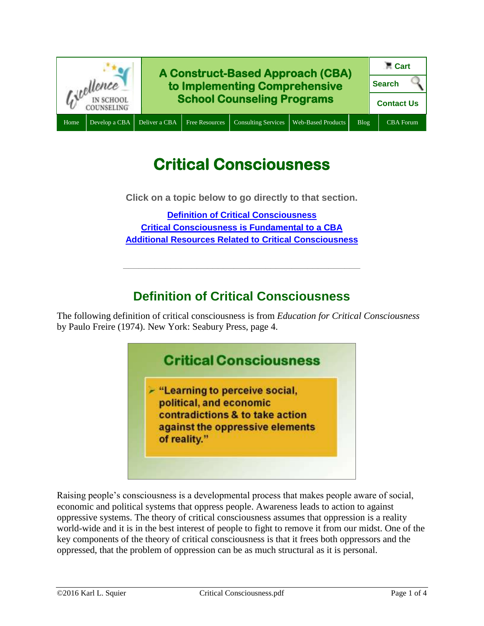

# **Critical Consciousness**

**Click on a topic below to go directly to that section.**

**[Definition of Critical Consciousness](#page-0-0) [Critical Consciousness is Fundamental to a CBA](#page-1-0) [Additional Resources Related to Critical Consciousness](#page-1-1)**

# **Definition of Critical Consciousness**

**\_\_\_\_\_\_\_\_\_\_\_\_\_\_\_\_\_\_\_\_\_\_\_\_\_\_\_\_\_\_\_\_\_\_\_\_\_\_\_\_\_\_\_\_\_**

<span id="page-0-0"></span>The following definition of critical consciousness is from *Education for Critical Consciousness* by Paulo Freire (1974). New York: Seabury Press, page 4.



Raising people's consciousness is a developmental process that makes people aware of social, economic and political systems that oppress people. Awareness leads to action to against oppressive systems. The theory of critical consciousness assumes that oppression is a reality world-wide and it is in the best interest of people to fight to remove it from our midst. One of the key components of the theory of critical consciousness is that it frees both oppressors and the oppressed, that the problem of oppression can be as much structural as it is personal.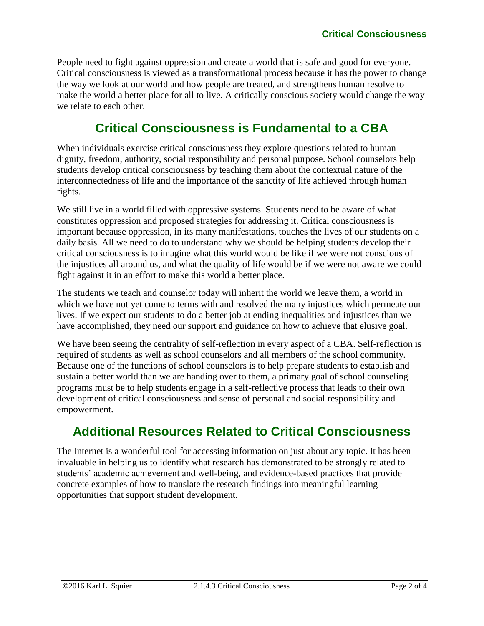People need to fight against oppression and create a world that is safe and good for everyone. Critical consciousness is viewed as a transformational process because it has the power to change the way we look at our world and how people are treated, and strengthens human resolve to make the world a better place for all to live. A critically conscious society would change the way we relate to each other.

# **Critical Consciousness is Fundamental to a CBA**

<span id="page-1-0"></span>When individuals exercise critical consciousness they explore questions related to human dignity, freedom, authority, social responsibility and personal purpose. School counselors help students develop critical consciousness by teaching them about the contextual nature of the interconnectedness of life and the importance of the sanctity of life achieved through human rights.

We still live in a world filled with oppressive systems. Students need to be aware of what constitutes oppression and proposed strategies for addressing it. Critical consciousness is important because oppression, in its many manifestations, touches the lives of our students on a daily basis. All we need to do to understand why we should be helping students develop their critical consciousness is to imagine what this world would be like if we were not conscious of the injustices all around us, and what the quality of life would be if we were not aware we could fight against it in an effort to make this world a better place.

The students we teach and counselor today will inherit the world we leave them, a world in which we have not yet come to terms with and resolved the many injustices which permeate our lives. If we expect our students to do a better job at ending inequalities and injustices than we have accomplished, they need our support and guidance on how to achieve that elusive goal.

We have been seeing the centrality of self-reflection in every aspect of a CBA. Self-reflection is required of students as well as school counselors and all members of the school community. Because one of the functions of school counselors is to help prepare students to establish and sustain a better world than we are handing over to them, a primary goal of school counseling programs must be to help students engage in a self-reflective process that leads to their own development of critical consciousness and sense of personal and social responsibility and empowerment.

# <span id="page-1-1"></span>**Additional Resources Related to Critical Consciousness**

The Internet is a wonderful tool for accessing information on just about any topic. It has been invaluable in helping us to identify what research has demonstrated to be strongly related to students' academic achievement and well-being, and evidence-based practices that provide concrete examples of how to translate the research findings into meaningful learning opportunities that support student development.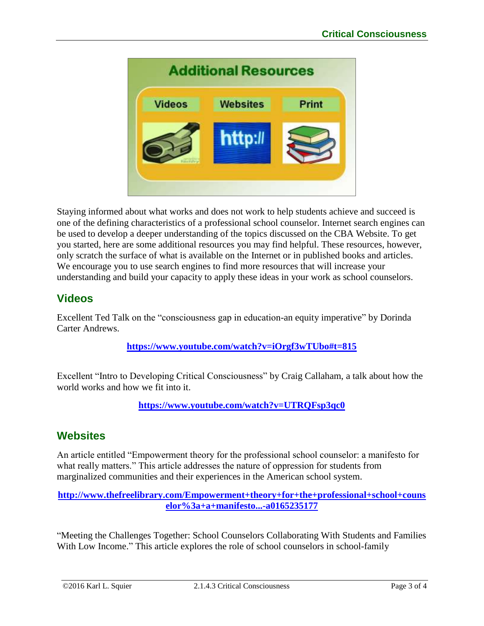

Staying informed about what works and does not work to help students achieve and succeed is one of the defining characteristics of a professional school counselor. Internet search engines can be used to develop a deeper understanding of the topics discussed on the CBA Website. To get you started, here are some additional resources you may find helpful. These resources, however, only scratch the surface of what is available on the Internet or in published books and articles. We encourage you to use search engines to find more resources that will increase your understanding and build your capacity to apply these ideas in your work as school counselors.

### **Videos**

Excellent Ted Talk on the "consciousness gap in education-an equity imperative" by Dorinda Carter Andrews.

#### **<https://www.youtube.com/watch?v=iOrgf3wTUbo#t=815>**

Excellent "Intro to Developing Critical Consciousness" by Craig Callaham, a talk about how the world works and how we fit into it.

**<https://www.youtube.com/watch?v=UTRQFsp3qc0>**

### **Websites**

An article entitled "Empowerment theory for the professional school counselor: a manifesto for what really matters." This article addresses the nature of oppression for students from marginalized communities and their experiences in the American school system.

#### **[http://www.thefreelibrary.com/Empowerment+theory+for+the+professional+school+couns](http://www.thefreelibrary.com/Empowerment+theory+for+the+professional+school+counselor%3a+a+manifesto...-a0165235177) [elor%3a+a+manifesto...-a0165235177](http://www.thefreelibrary.com/Empowerment+theory+for+the+professional+school+counselor%3a+a+manifesto...-a0165235177)**

"Meeting the Challenges Together: School Counselors Collaborating With Students and Families With Low Income." This article explores the role of school counselors in school-family